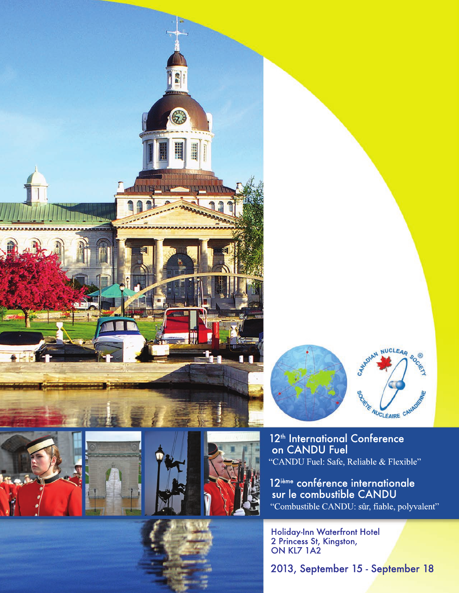







12<sup>th</sup> International Conference on CANDU Fuel "CANDU Fuel: Safe, Reliable & Flexible"

12<sup>ième</sup> conférence internationale<br>sur le combustible CANDU "Combustible CANDU: sûr, fiable, polyvalent"

Holiday-Inn Waterfront Hotel<br>2 Princess St, Kingston,<br>ON KL7 1A2

2013, September 15 - September 18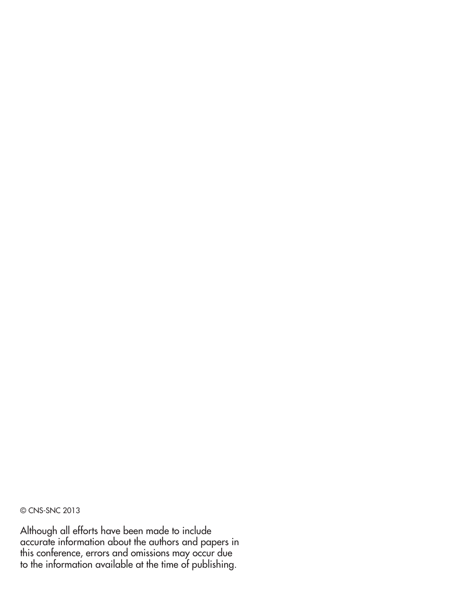© CNS-SNC 2013

Although all efforts have been made to include accurate information about the authors and papers in this conference, errors and omissions may occur due to the information available at the time of publishing.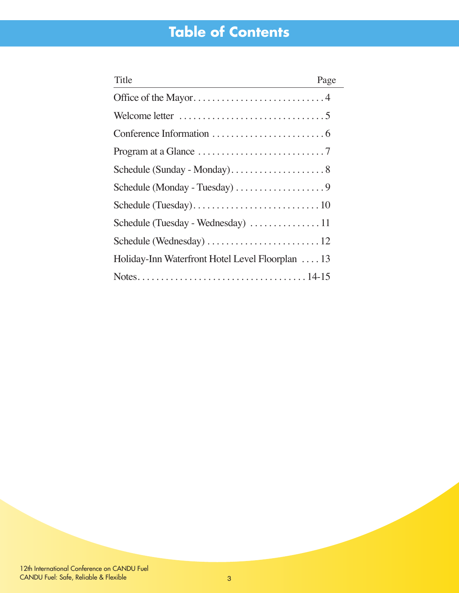# **Table of Contents**

| Title                                                                 | Page |
|-----------------------------------------------------------------------|------|
|                                                                       |      |
|                                                                       |      |
|                                                                       |      |
| Program at a Glance $\dots \dots \dots \dots \dots \dots \dots \dots$ |      |
|                                                                       |      |
|                                                                       |      |
|                                                                       |      |
|                                                                       |      |
|                                                                       |      |
| Holiday-Inn Waterfront Hotel Level Floorplan  13                      |      |
|                                                                       |      |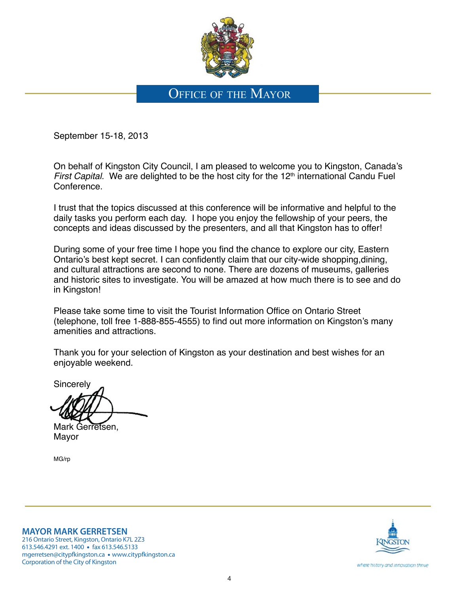

## OFFICE OF THE MAYOR

September 15-18, 2013

On behalf of Kingston City Council, I am pleased to welcome you to Kingston, Canada's First Capital. We are delighted to be the host city for the  $12<sup>th</sup>$  international Candu Fuel Conference.

I trust that the topics discussed at this conference will be informative and helpful to the daily tasks you perform each day. I hope you enjoy the fellowship of your peers, the concepts and ideas discussed by the presenters, and all that Kingston has to offer!

During some of your free time I hope you find the chance to explore our city, Eastern Ontario's best kept secret. I can confidently claim that our city-wide shopping, dining, and cultural attractions are second to none. There are dozens of museums, galleries and historic sites to investigate. You will be amazed at how much there is to see and do in Kingston!

Please take some time to visit the Tourist Information Office on Ontario Street (telephone, toll free 1-888-855-4555) to find out more information on Kingston's many amenities and attractions.

Thank you for your selection of Kingston as your destination and best wishes for an enjoyable weekend.

**Sincerely** 

Mark Gerretsen, Mayor

MG/rp

**MAYOR MARK GERRETSEN**

216 Ontario Street, Kingston, Ontario K7L 2Z3 613.546.4291 ext. 1400 · fax 613.546.5133 mgerretsen@citypfkingston.ca • www.citypfkingston.ca Corporation of the City of Kingston



where history and innovation thrive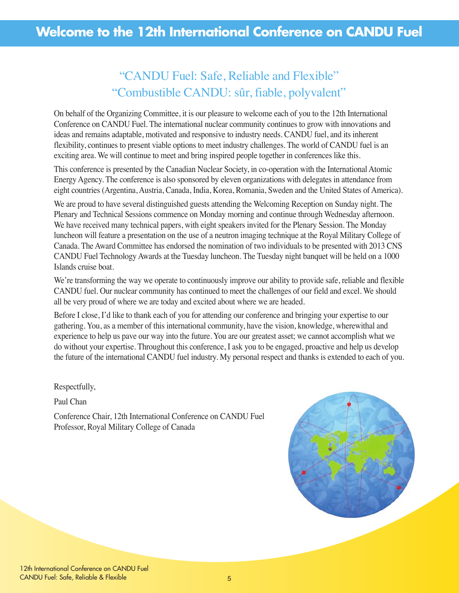## "CANDU Fuel: Safe, Reliable and Flexible" "Combustible CANDU: sûr, fiable, polyvalent"

On behalf of the Organizing Committee, it is our pleasure to welcome each of you to the 12th International Conference on CANDU Fuel. The international nuclear community continues to grow with innovations and ideas and remains adaptable, motivated and responsive to industry needs. CANDU fuel, and its inherent flexibility, continues to present viable options to meet industry challenges. The world of CANDU fuel is an exciting area. We will continue to meet and bring inspired people together in conferences like this.

This conference is presented by the Canadian Nuclear Society, in co-operation with the International Atomic Energy Agency. The conference is also sponsored by eleven organizations with delegates in attendance from eight countries (Argentina, Austria, Canada, India, Korea, Romania, Sweden and the United States of America).

We are proud to have several distinguished guests attending the Welcoming Reception on Sunday night. The Plenary and Technical Sessions commence on Monday morning and continue through Wednesday afternoon. We have received many technical papers, with eight speakers invited for the Plenary Session. The Monday luncheon will feature a presentation on the use of a neutron imaging technique at the Royal Military College of Canada. The Award Committee has endorsed the nomination of two individuals to be presented with 2013 CNS CANDU Fuel Technology Awards at the Tuesday luncheon. The Tuesday night banquet will be held on a 1000 Islands cruise boat.

We're transforming the way we operate to continuously improve our ability to provide safe, reliable and flexible CANDU fuel. Our nuclear community has continued to meet the challenges of our field and excel. We should all be very proud of where we are today and excited about where we are headed.

Before I close, I'd like to thank each of you for attending our conference and bringing your expertise to our gathering. You, as a member of this international community, have the vision, knowledge, wherewithal and experience to help us pave our way into the future. You are our greatest asset; we cannot accomplish what we do without your expertise. Throughout this conference, I ask you to be engaged, proactive and help us develop the future of the international CANDU fuel industry. My personal respect and thanks is extended to each of you.

#### Respectfully,

Paul Chan

Conference Chair, 12th International Conference on CANDU Fuel Professor, Royal Military College of Canada

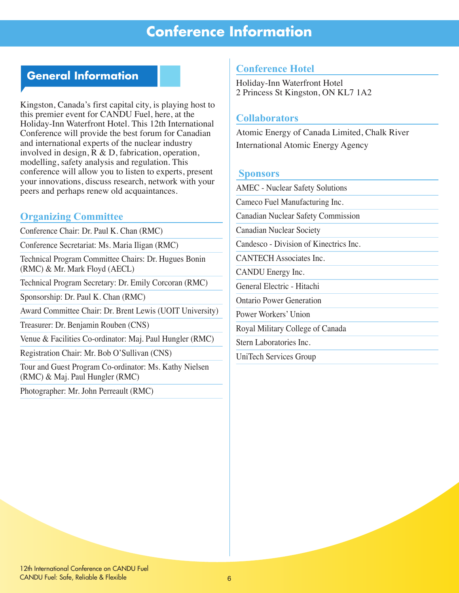## **Conference Information**

## **General Information**

Kingston, Canada's first capital city, is playing host to this premier event for CANDU Fuel, here, at the Holiday-Inn Waterfront Hotel. This 12th International Conference will provide the best forum for Canadian and international experts of the nuclear industry involved in design, R & D, fabrication, operation, modelling, safety analysis and regulation. This conference will allow you to listen to experts, present your innovations, discuss research, network with your peers and perhaps renew old acquaintances.

#### **Organizing Committee**

Conference Chair: Dr. Paul K. Chan (RMC)

Conference Secretariat: Ms. Maria Iligan (RMC)

Technical Program Committee Chairs: Dr. Hugues Bonin (RMC) & Mr. Mark Floyd (AECL)

Technical Program Secretary: Dr. Emily Corcoran (RMC)

Sponsorship: Dr. Paul K. Chan (RMC)

Award Committee Chair: Dr. Brent Lewis (UOIT University)

Treasurer: Dr. Benjamin Rouben (CNS)

Venue & Facilities Co-ordinator: Maj. Paul Hungler (RMC)

Registration Chair: Mr. Bob O'Sullivan (CNS)

Tour and Guest Program Co-ordinator: Ms. Kathy Nielsen (RMC) & Maj. Paul Hungler (RMC)

Photographer: Mr. John Perreault (RMC)

### **Conference Hotel**

Holiday-Inn Waterfront Hotel 2 Princess St Kingston, ON KL7 1A2

#### **Collaborators**

Atomic Energy of Canada Limited, Chalk River International Atomic Energy Agency

#### **Sponsors**

AMEC - Nuclear Safety Solutions Cameco Fuel Manufacturing Inc. Canadian Nuclear Safety Commission Canadian Nuclear Society Candesco - Division of Kinectrics Inc. CANTECH Associates Inc. CANDU Energy Inc. General Electric - Hitachi Ontario Power Generation Power Workers' Union Royal Military College of Canada Stern Laboratories Inc.

UniTech Services Group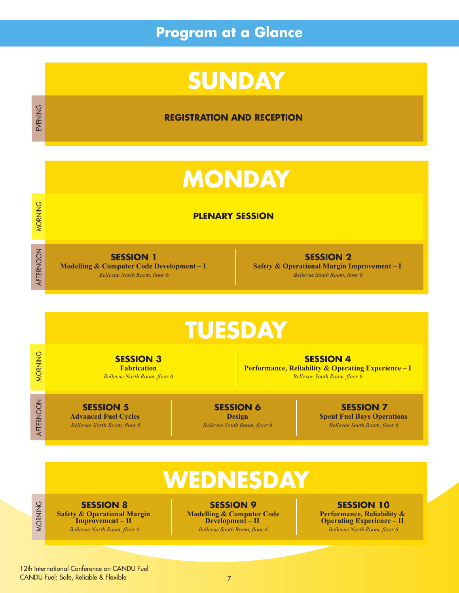# **Program at a Glance**

# **SUNDAY**

**REGISTRATION AND RECEPTION**

# **MONDAY**

#### **PLENARY SESSION**

**SESSION 1 Modelling & Computer Code Development – I**  *Bellevue North Room, floor 6*

MORNING

MORNING

AFTERNOON

MORNING

MORNING

AFTERNOON

AFTERNOON

MORNING

MORNING

OZINING AFTERNOON DOORGEES

EVENING

**SESSION 2 Safety & Operational Margin Improvement – I**  *Bellevue South Room, floor 6*

# **TUESDAY**

**SESSION 3 Fabrication** *Bellevue North Room, floor 6*

**SESSION 4 Performance, Reliability & Operating Experience – I** *Bellevue South Room, floor 6*

**SESSION 5 Advanced Fuel Cycles**  *Bellevue North Room, floor 6*

**SESSION 6 Design** *Bellevue South Room, floor 6*

**SESSION 7 Spent Fuel Bays Operations**  *Bellevue South Room, floor 6* 

# **WEDNESDAY**

**SESSION 8 Safety & Operational Margin Improvement – II**  *Bellevue North Room, floor 6*

**SESSION 9 Modelling & Computer Code Development – II**  *Bellevue South Room, floor 6*

**SESSION 10 Performance, Reliability & Operating Experience – II**  *Bellevue North Room, floor 6*

12th International Conference on CANDU Fuel CANDU Fuel: Safe, Reliable & Flexible

7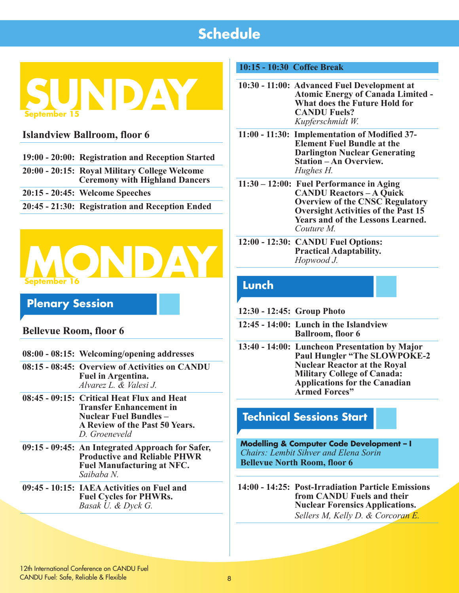

## **Islandview Ballroom, floor 6**

- **19:00 20:00: Registration and Reception Started**
- **20:00 20:15: Royal Military College Welcome Ceremony with Highland Dancers**
- **20:15 20:45: Welcome Speeches**
- **20:45 21:30: Registration and Reception Ended**



## **Plenary Session**

### **Bellevue Room, floor 6**

- **08:00 08:15: Welcoming/opening addresses**
- **08:15 08:45: Overview of Activities on CANDU Fuel in Argentina.**  *Alvarez L. & Valesi J.*
- **08:45 09:15: Critical Heat Flux and Heat Transfer Enhancement in Nuclear Fuel Bundles – A Review of the Past 50 Years.**  *D. Groeneveld*
- **09:15 09:45: An Integrated Approach for Safer, Productive and Reliable PHWR Fuel Manufacturing at NFC.** *Saibaba N.*
- **09:45 10:15: IAEA Activities on Fuel and Fuel Cycles for PHWRs.**  *Basak U. & Dyck G.*

#### **10:15 - 10:30 Coffee Break**

- **10:30 11:00: Advanced Fuel Development at Atomic Energy of Canada Limited - What does the Future Hold for CANDU Fuels?**  *Kupferschmidt W.*
- **11:00 11:30: Implementation of Modified 37- Element Fuel Bundle at the Darlington Nuclear Generating Station – An Overview.**  *Hughes H.*
- **11:30 12:00: Fuel Performance in Aging CANDU Reactors – A Quick Overview of the CNSC Regulatory Oversight Activities of the Past 15 Years and of the Lessons Learned.** *Couture M.*
- **12:00 12:30: CANDU Fuel Options: Practical Adaptability.**  *Hopwood J.*

## **Lunch**

- **12:30 12:45: Group Photo**
- **12:45 14:00: Lunch in the Islandview Ballroom, floor 6**
- **13:40 14:00: Luncheon Presentation by Major Paul Hungler "The SLOWPOKE-2 Nuclear Reactor at the Royal Military College of Canada: Applications for the Canadian Armed Forces"**

## **Technical Sessions Start**

**Modelling & Computer Code Development – I**  *Chairs: Lembit Sihver and Elena Sorin* **Bellevue North Room, floor 6**

**14:00 - 14:25: Post-Irradiation Particle Emissions from CANDU Fuels and their Nuclear Forensics Applications.** *Sellers M, Kelly D. & Corcoran E.*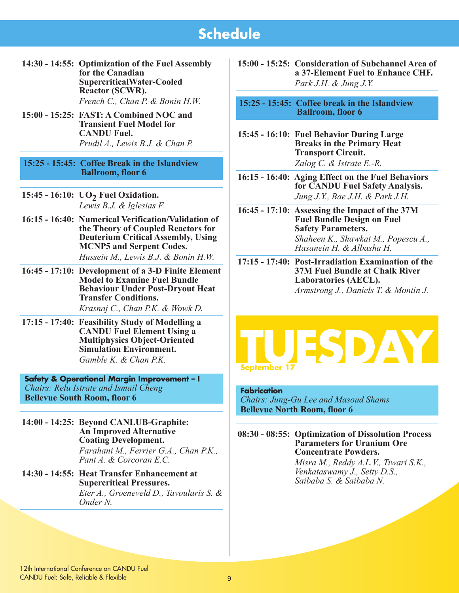- **14:30 14:55: Optimization of the Fuel Assembly for the Canadian SupercriticalWater-Cooled Reactor (SCWR).** *French C., Chan P. & Bonin H.W.*
- **15:00 15:25: FAST: A Combined NOC and Transient Fuel Model for CANDU Fuel.** *Prudil A., Lewis B.J. & Chan P.*

#### **15:25 - 15:45: Coffee Break in the Islandview Ballroom, floor 6**

**15:45 - 16:10: UO2 Fuel Oxidation.**  *Lewis B.J. & Iglesias F.* 

- **16:15 16:40: Numerical Verification/Validation of the Theory of Coupled Reactors for Deuterium Critical Assembly, Using MCNP5 and Serpent Codes.**  *Hussein M., Lewis B.J. & Bonin H.W.*
- **16:45 17:10: Development of a 3-D Finite Element Model to Examine Fuel Bundle Behaviour Under Post-Dryout Heat Transfer Conditions.**

*Krasnaj C., Chan P.K. & Wowk D.* 

**17:15 - 17:40: Feasibility Study of Modelling a CANDU Fuel Element Using a Multiphysics Object-Oriented Simulation Environment.**  *Gamble K. & Chan P.K.* 

**Safety & Operational Margin Improvement – I**  *Chairs: Relu Istrate and Ismail Cheng* **Bellevue South Room, floor 6**

**14:00 - 14:25: Beyond CANLUB-Graphite: An Improved Alternative Coating Development.**  *Farahani M., Ferrier G.A., Chan P.K., Pant A. & Corcoran E.C.* 

#### **14:30 - 14:55: Heat Transfer Enhancement at Supercritical Pressures.**  *Eter A., Groeneveld D., Tavoularis S. &*

*Onder N.* 

**15:00 - 15:25: Consideration of Subchannel Area of a 37-Element Fuel to Enhance CHF.** *Park J.H. & Jung J.Y.* 

**15:25 - 15:45: Coffee break in the Islandview Ballroom, floor 6**

**15:45 - 16:10: Fuel Behavior During Large Breaks in the Primary Heat Transport Circuit.**  *Zalog C. & Istrate E.-R.* 

**16:15 - 16:40: Aging Effect on the Fuel Behaviors for CANDU Fuel Safety Analysis.**  *Jung J.Y., Bae J.H. & Park J.H.* 

**16:45 - 17:10: Assessing the Impact of the 37M Fuel Bundle Design on Fuel Safety Parameters.**  *Shaheen K., Shawkat M., Popescu A., Hasanein H. & Albasha H.* 

**17:15 - 17:40: Post-Irradiation Examination of the 37M Fuel Bundle at Chalk River Laboratories (AECL).** *Armstrong J., Daniels T. & Montin J.* 



#### **Fabrication**

*Chairs: Jung-Gu Lee and Masoud Shams* **Bellevue North Room, floor 6**

**08:30 - 08:55: Optimization of Dissolution Process Parameters for Uranium Ore Concentrate Powders.** 

> *Misra M., Reddy A.L.V., Tiwari S.K., Venkataswamy J., Setty D.S., Saibaba S. & Saibaba N.*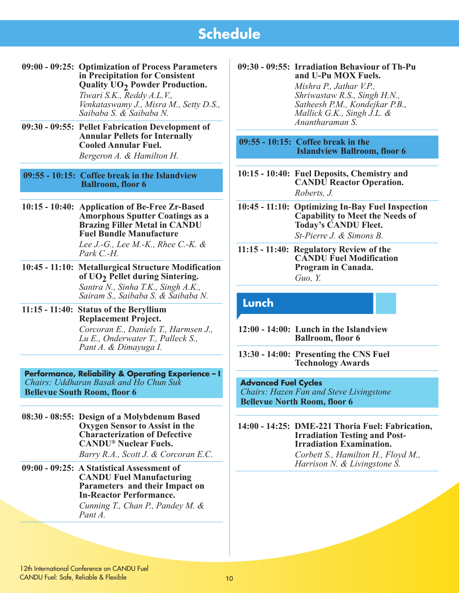**09:00 - 09:25: Optimization of Process Parameters in Precipitation for Consistent Quality UO2 Powder Production.** 

*Tiwari S.K., Reddy A.L.V., Venkataswamy J., Misra M., Setty D.S., Saibaba S. & Saibaba N.* 

**09:30 - 09:55: Pellet Fabrication Development of Annular Pellets for Internally Cooled Annular Fuel.**  *Bergeron A. & Hamilton H.* 

**09:55 - 10:15: Coffee break in the Islandview Ballroom, floor 6** 

- **10:15 10:40: Application of Be-Free Zr-Based Amorphous Sputter Coatings as a Brazing Filler Metal in CANDU Fuel Bundle Manufacture** *Lee J.-G., Lee M.-K., Rhee C.-K. & Park C.-H.*
- **10:45 11:10: Metallurgical Structure Modification of UO2 Pellet during Sintering.**  *Santra N., Sinha T.K., Singh A.K., Sairam S., Saibaba S. & Saibaba N.*
- **11:15 11:40: Status of the Beryllium Replacement Project.**  *Corcoran E., Daniels T., Harmsen J., Lu E., Onderwater T., Palleck S., Pant A. & Dimayuga I.*

**Performance, Reliability & Operating Experience – I** *Chairs: Uddharan Basak and Ho Chun Suk*  **Bellevue South Room, floor 6**

- **08:30 08:55: Design of a Molybdenum Based Oxygen Sensor to Assist in the Characterization of Defective CANDU® Nuclear Fuels.**  *Barry R.A., Scott J. & Corcoran E.C.*
- **09:00 09:25: A Statistical Assessment of CANDU Fuel Manufacturing Parameters and their Impact on In-Reactor Performance.**

*Cunning T., Chan P., Pandey M. & Pant A.* 

#### **09:30 - 09:55: Irradiation Behaviour of Th-Pu and U-Pu MOX Fuels.**

*Mishra P., Jathar V.P., Shriwastaw R.S., Singh H.N., Satheesh P.M., Kondejkar P.B., Mallick G.K., Singh J.L. & Anantharaman S.* 

**09:55 - 10:15: Coffee break in the Islandview Ballroom, floor 6** 

- **10:15 10:40: Fuel Deposits, Chemistry and CANDU Reactor Operation.** *Roberts, J.*
- **10:45 11:10: Optimizing In-Bay Fuel Inspection Capability to Meet the Needs of Today's CANDU Fleet.**  *St-Pierre J. & Simons B.*
- **11:15 11:40: Regulatory Review of the CANDU Fuel Modification Program in Canada.**  *Guo, Y.*

### **Lunch**

- **12:00 14:00: Lunch in the Islandview Ballroom, floor 6**
- **13:30 14:00: Presenting the CNS Fuel Technology Awards**

#### **Advanced Fuel Cycles**

*Chairs: Hazen Fan and Steve Livingstone* **Bellevue North Room, floor 6**

**14:00 - 14:25: DME-221 Thoria Fuel: Fabrication, Irradiation Testing and Post-Irradiation Examination.** 

*Corbett S., Hamilton H., Floyd M., Harrison N. & Livingstone S.*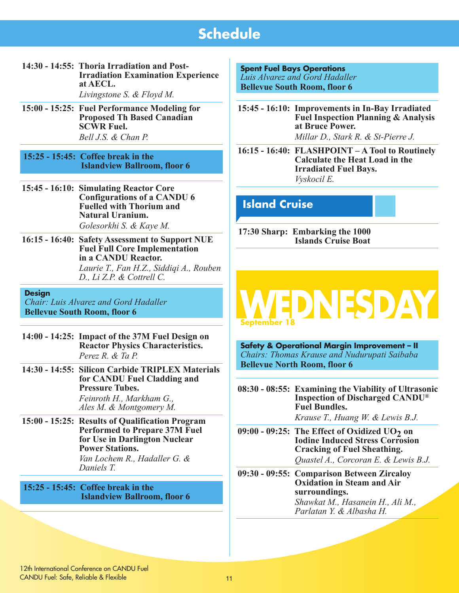**14:30 - 14:55: Thoria Irradiation and Post-Irradiation Examination Experience at AECL.** 

*Livingstone S. & Floyd M.*

- **15:00 15:25: Fuel Performance Modeling for Proposed Th Based Canadian SCWR Fuel.**  *Bell J.S. & Chan P.*
- **15:25 15:45: Coffee break in the Islandview Ballroom, floor 6**
- **15:45 16:10: Simulating Reactor Core Configurations of a CANDU 6 Fuelled with Thorium and Natural Uranium.** *Golesorkhi S. & Kaye M.*
- **16:15 16:40: Safety Assessment to Support NUE Fuel Full Core Implementation in a CANDU Reactor.** *Laurie T., Fan H.Z., Siddiqi A., Rouben D., Li Z.P. & Cottrell C.*

#### **Design**

*Chair: Luis Alvarez and Gord Hadaller* **Bellevue South Room, floor 6**

- **14:00 14:25: Impact of the 37M Fuel Design on Reactor Physics Characteristics.** *Perez R. & Ta P.*
- **14:30 14:55: Silicon Carbide TRIPLEX Materials for CANDU Fuel Cladding and Pressure Tubes.**  *Feinroth H., Markham G., Ales M. & Montgomery M.*
- **15:00 15:25: Results of Qualification Program Performed to Prepare 37M Fuel for Use in Darlington Nuclear Power Stations.**  *Van Lochem R., Hadaller G. & Daniels T.*

**15:25 - 15:45: Coffee break in the Islandview Ballroom, floor 6** **Spent Fuel Bays Operations** *Luis Alvarez and Gord Hadaller* **Bellevue South Room, floor 6** 

- **15:45 16:10: Improvements in In-Bay Irradiated Fuel Inspection Planning & Analysis at Bruce Power.** *Millar D., Stark R. & St-Pierre J.*
- **16:15 16:40: FLASHPOINT A Tool to Routinely Calculate the Heat Load in the Irradiated Fuel Bays.** *Vyskocil E.*

## **Island Cruise**

**17:30 Sharp: Embarking the 1000 Islands Cruise Boat**



**Safety & Operational Margin Improvement – II**  *Chairs: Thomas Krause and Nudurupati Saibaba* **Bellevue North Room, floor 6**

**08:30 - 08:55: Examining the Viability of Ultrasonic Inspection of Discharged CANDU® Fuel Bundles.**

*Krause T., Huang W. & Lewis B.J.*

- **09:00 09:25:** The Effect of Oxidized UO<sub>2</sub> on **Iodine Induced Stress Corrosion Cracking of Fuel Sheathing.**  *Quastel A., Corcoran E. & Lewis B.J.*
- **09:30 09:55: Comparison Between Zircaloy Oxidation in Steam and Air surroundings.**  *Shawkat M., Hasanein H., Ali M., Parlatan Y. & Albasha H.*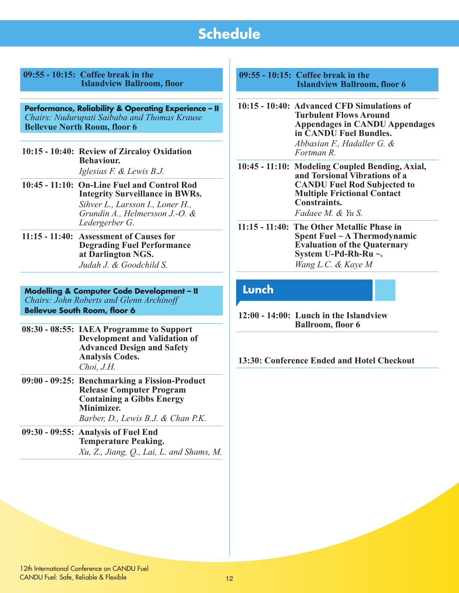| $09:55 - 10:15$ : Coffee break in the |
|---------------------------------------|
| <b>Islandview Ballroom, floor</b>     |

**Performance, Reliability & Operating Experience – II**  *Chairs: Nudurupati Saibaba and Thomas Krause* **Bellevue North Room, floor 6**

- **10:15 10:40: Review of Zircaloy Oxidation Behaviour.**  *Iglesias F. & Lewis B.J.*
- **10:45 11:10: On-Line Fuel and Control Rod Integrity Surveillance in BWRs.** *Sihver L., Larsson I., Loner H., Grundin A., Helmersson J.-O. & Ledergerber G.*
- **11:15 11:40: Assessment of Causes for Degrading Fuel Performance at Darlington NGS.**  *Judah J. & Goodchild S.*

**Modelling & Computer Code Development – II**  *Chairs: John Roberts and Glenn Archinoff* **Bellevue South Room, floor 6**

- **08:30 08:55: IAEA Programme to Support Development and Validation of Advanced Design and Safety Analysis Codes.**  *Choi, J.H.*
- **09:00 09:25: Benchmarking a Fission-Product Release Computer Program Containing a Gibbs Energy Minimizer.**  *Barber, D., Lewis B.J. & Chan P.K.*
- **09:30 09:55: Analysis of Fuel End Temperature Peaking.**  *Xu, Z., Jiang, Q., Lai, L. and Shams, M.*

**09:55 - 10:15: Coffee break in the Islandview Ballroom, floor 6** 

- **10:15 10:40: Advanced CFD Simulations of Turbulent Flows Around Appendages in CANDU Appendages in CANDU Fuel Bundles.**  *Abbasian F., Hadaller G. & Fortman R.*
- **10:45 11:10: Modeling Coupled Bending, Axial, and Torsional Vibrations of a CANDU Fuel Rod Subjected to Multiple Frictional Contact Constraints.**

*Fadaee M. & Yu S.*

**11:15 - 11:40: The Other Metallic Phase in Spent Fuel ~ A Thermodynamic Evaluation of the Quaternary System U-Pd-Rh-Ru ~.**  *Wang L.C. & Kaye M*

## **Lunch**

**12:00 - 14:00: Lunch in the Islandview Ballroom, floor 6**

**13:30: Conference Ended and Hotel Checkout**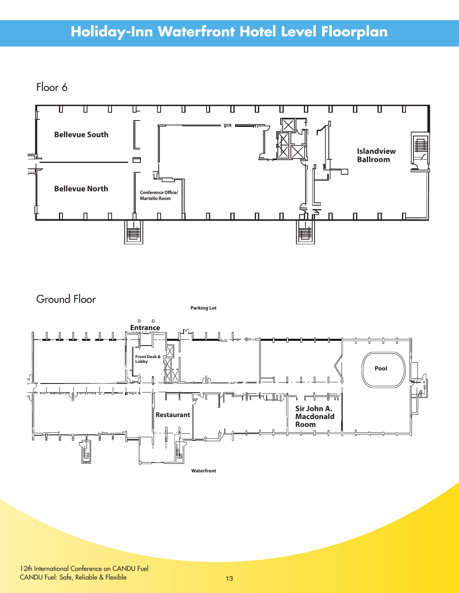# **Holiday-Inn Waterfront Hotel Level Floorplan**

Floor 6



Ground Floor



12th International Conference on CANDU Fuel CANDU Fuel: Safe, Reliable & Flexible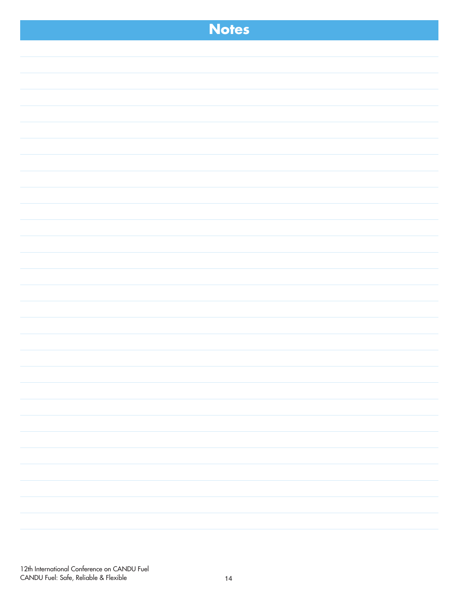| <b>Notes</b> |  |
|--------------|--|
|              |  |
|              |  |
|              |  |
|              |  |
|              |  |
|              |  |
|              |  |
|              |  |
|              |  |
|              |  |
|              |  |
|              |  |
|              |  |
|              |  |
|              |  |
|              |  |
|              |  |
|              |  |
|              |  |
|              |  |
|              |  |
|              |  |
|              |  |
|              |  |
|              |  |
|              |  |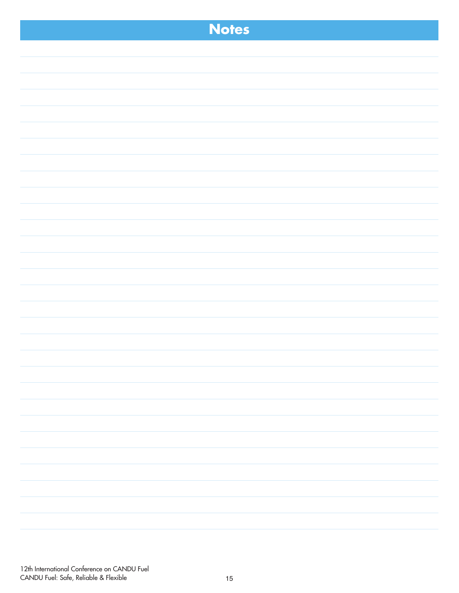| <b>Notes</b> |
|--------------|
|              |
|              |
|              |
|              |
|              |
|              |
|              |
|              |
|              |
|              |
|              |
|              |
|              |
|              |
|              |
|              |
|              |
|              |
|              |
|              |
|              |
|              |
|              |
|              |
|              |